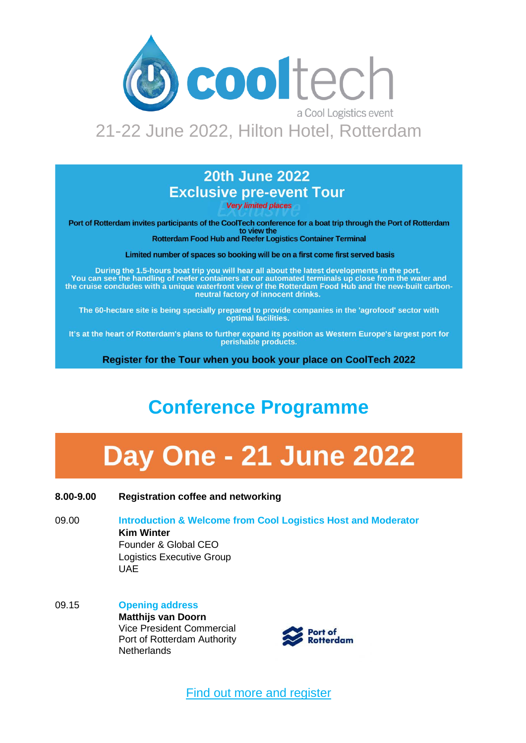

# 21-22 June 2022, Hilton Hotel, Rotterdam

### **20th June 2022 Exclusive pre-event Tour**

**Very limited places** 

Port of Rotterdam invites participants of the CoolTech conference for a boat trip through the Port of Rotterdam to view the

**Rotterdam Food Hub and Reefer Logistics Container Terminal** 

Limited number of spaces so booking will be on a first come first served basis

During the 1.5-hours boat trip you will hear all about the latest developments in the port. You can see the handling of reefer containers at our automated terminals up close from the water and the cruise concludes with a unique waterfront view of the Rotterdam Food Hub and the new-built carbonneutral factory of innocent drinks.

The 60-hectare site is being specially prepared to provide companies in the 'agrofood' sector with optimal facilities.

It's at the heart of Rotterdam's plans to further expand its position as Western Europe's largest port for perishable products.

Register for the Tour when you book your place on CoolTech 2022

# **Conference Programme**

# **Day One - 21 June 2022**

#### **8.00-9.00 Registration coffee and networking**

- 09.00 **Introduction & Welcome from Cool Logistics Host and Moderator Kim Winter** Founder & Global CEO Logistics Executive Group UAE
- 09.15 **Opening address Matthijs van Doorn** Vice President Commercial Port of Rotterdam Authority **Netherlands**



[Find out more and register](https://coollogisticsresources.com/cooltech-a-cool-logistics-event/)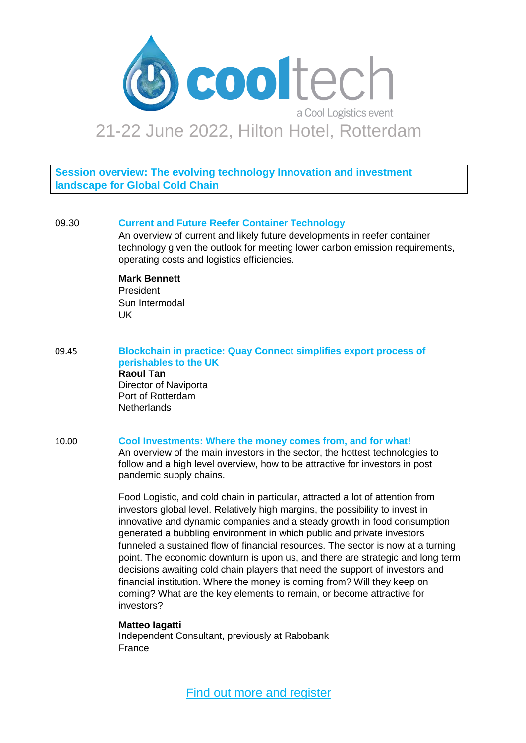

**Session overview: The evolving technology Innovation and investment landscape for Global Cold Chain** 

#### 09.30 **Current and Future Reefer Container Technology**

An overview of current and likely future developments in reefer container technology given the outlook for meeting lower carbon emission requirements, operating costs and logistics efficiencies.

#### **Mark Bennett**

President Sun Intermodal UK

09.45 **Blockchain in practice: Quay Connect simplifies export process of perishables to the UK Raoul Tan** Director of Naviporta Port of Rotterdam **Netherlands** 

#### 10.00 **Cool Investments: Where the money comes from, and for what!**

An overview of the main investors in the sector, the hottest technologies to follow and a high level overview, how to be attractive for investors in post pandemic supply chains.

Food Logistic, and cold chain in particular, attracted a lot of attention from investors global level. Relatively high margins, the possibility to invest in innovative and dynamic companies and a steady growth in food consumption generated a bubbling environment in which public and private investors funneled a sustained flow of financial resources. The sector is now at a turning point. The economic downturn is upon us, and there are strategic and long term decisions awaiting cold chain players that need the support of investors and financial institution. Where the money is coming from? Will they keep on coming? What are the key elements to remain, or become attractive for investors?

#### **Matteo Iagatti**

Independent Consultant, previously at Rabobank France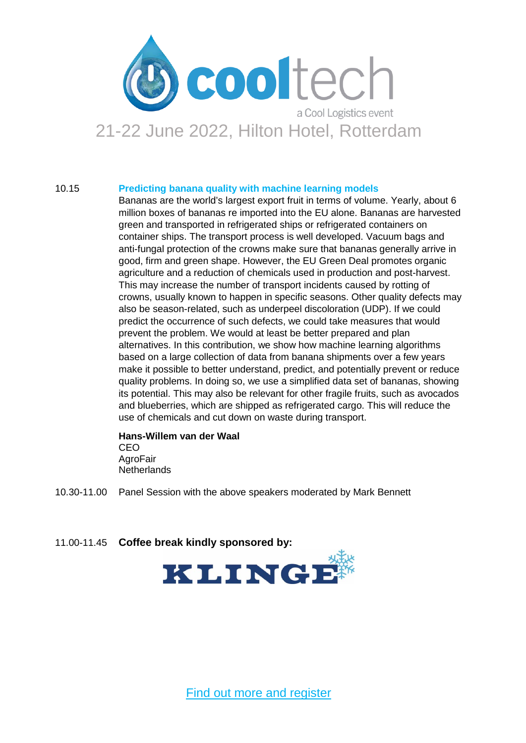

#### 10.15 **Predicting banana quality with machine learning models**

Bananas are the world's largest export fruit in terms of volume. Yearly, about 6 million boxes of bananas re imported into the EU alone. Bananas are harvested green and transported in refrigerated ships or refrigerated containers on container ships. The transport process is well developed. Vacuum bags and anti-fungal protection of the crowns make sure that bananas generally arrive in good, firm and green shape. However, the EU Green Deal promotes organic agriculture and a reduction of chemicals used in production and post-harvest. This may increase the number of transport incidents caused by rotting of crowns, usually known to happen in specific seasons. Other quality defects may also be season-related, such as underpeel discoloration (UDP). If we could predict the occurrence of such defects, we could take measures that would prevent the problem. We would at least be better prepared and plan alternatives. In this contribution, we show how machine learning algorithms based on a large collection of data from banana shipments over a few years make it possible to better understand, predict, and potentially prevent or reduce quality problems. In doing so, we use a simplified data set of bananas, showing its potential. This may also be relevant for other fragile fruits, such as avocados and blueberries, which are shipped as refrigerated cargo. This will reduce the use of chemicals and cut down on waste during transport.

#### **Hans-Willem van der Waal** CEO AgroFair **Netherlands**

- 10.30-11.00 Panel Session with the above speakers moderated by Mark Bennett
- 11.00-11.45 **Coffee break kindly sponsored by:**

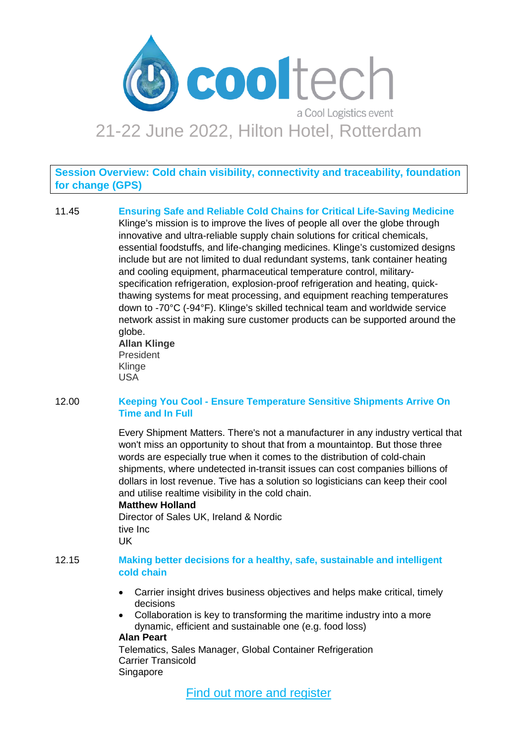

**Session Overview: Cold chain visibility, connectivity and traceability, foundation for change (GPS)**

11.45 **Ensuring Safe and Reliable Cold Chains for Critical Life-Saving Medicine** Klinge's mission is to improve the lives of people all over the globe through innovative and ultra-reliable supply chain solutions for critical chemicals, essential foodstuffs, and life-changing medicines. Klinge's customized designs include but are not limited to dual redundant systems, tank container heating and cooling equipment, pharmaceutical temperature control, militaryspecification refrigeration, explosion-proof refrigeration and heating, quickthawing systems for meat processing, and equipment reaching temperatures down to -70°C (-94°F). Klinge's skilled technical team and worldwide service network assist in making sure customer products can be supported around the globe. **Allan Klinge** President

Klinge USA

#### 12.00 **Keeping You Cool - Ensure Temperature Sensitive Shipments Arrive On Time and In Full**

Every Shipment Matters. There's not a manufacturer in any industry vertical that won't miss an opportunity to shout that from a mountaintop. But those three words are especially true when it comes to the distribution of cold-chain shipments, where undetected in-transit issues can cost companies billions of dollars in lost revenue. Tive has a solution so logisticians can keep their cool and utilise realtime visibility in the cold chain.

#### **Matthew Holland**

Director of Sales UK, Ireland & Nordic tive Inc UK

#### 12.15 **Making better decisions for a healthy, safe, sustainable and intelligent cold chain**

- Carrier insight drives business objectives and helps make critical, timely decisions
- Collaboration is key to transforming the maritime industry into a more dynamic, efficient and sustainable one (e.g. food loss)

#### **Alan Peart**

Telematics, Sales Manager, Global Container Refrigeration Carrier Transicold Singapore

[Find out more and register](https://coollogisticsresources.com/cooltech-a-cool-logistics-event/)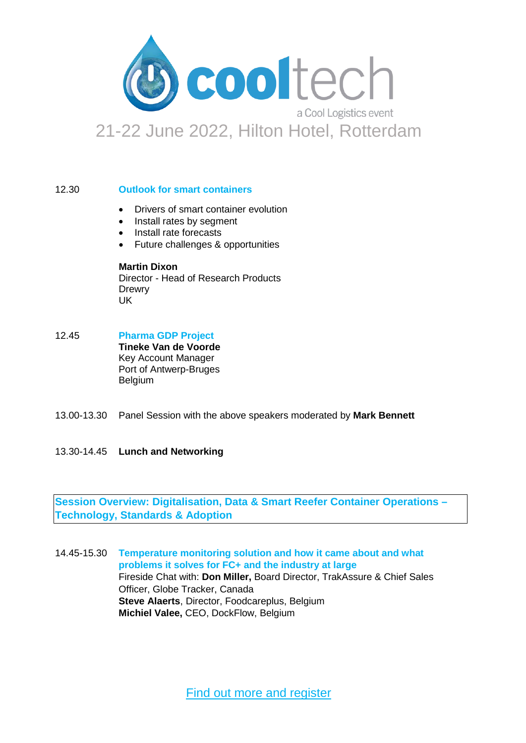

#### 12.30 **Outlook for smart containers**

- Drivers of smart container evolution
- Install rates by segment
- Install rate forecasts
- Future challenges & opportunities

### **Martin Dixon**

Director - Head of Research Products **Drewry** UK

12.45 **Pharma GDP Project**

**Tineke Van de Voorde** Key Account Manager Port of Antwerp-Bruges Belgium

- 13.00-13.30 Panel Session with the above speakers moderated by **Mark Bennett**
- 13.30-14.45 **Lunch and Networking**

#### **Session Overview: Digitalisation, Data & Smart Reefer Container Operations – Technology, Standards & Adoption**

14.45-15.30 **Temperature monitoring solution and how it came about and what problems it solves for FC+ and the industry at large** Fireside Chat with: **Don Miller,** Board Director, TrakAssure & Chief Sales Officer, Globe Tracker, Canada **Steve Alaerts**, Director, Foodcareplus, Belgium **Michiel Valee,** CEO, DockFlow, Belgium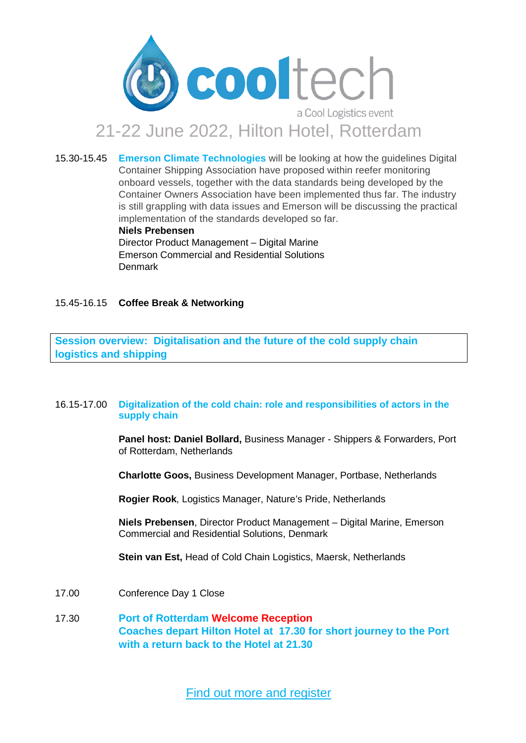

15.30-15.45 **Emerson Climate Technologies** will be looking at how the guidelines Digital Container Shipping Association have proposed within reefer monitoring onboard vessels, together with the data standards being developed by the Container Owners Association have been implemented thus far. The industry is still grappling with data issues and Emerson will be discussing the practical implementation of the standards developed so far.

**Niels Prebensen**

Director Product Management – Digital Marine Emerson Commercial and Residential Solutions Denmark

#### 15.45-16.15 **Coffee Break & Networking**

**Session overview: Digitalisation and the future of the cold supply chain logistics and shipping** 

#### 16.15-17.00 **Digitalization of the cold chain: role and responsibilities of actors in the supply chain**

**Panel host: Daniel Bollard,** Business Manager - Shippers & Forwarders, Port of Rotterdam, Netherlands

**Charlotte Goos,** Business Development Manager, Portbase, Netherlands

**Rogier Rook**, Logistics Manager, Nature's Pride, Netherlands

**Niels Prebensen**, Director Product Management – Digital Marine, Emerson Commercial and Residential Solutions, Denmark

**Stein van Est,** Head of Cold Chain Logistics, Maersk, Netherlands

- 17.00 Conference Day 1 Close
- 17.30 **Port of Rotterdam Welcome Reception Coaches depart Hilton Hotel at 17.30 for short journey to the Port with a return back to the Hotel at 21.30**

[Find out more and register](https://coollogisticsresources.com/cooltech-a-cool-logistics-event/)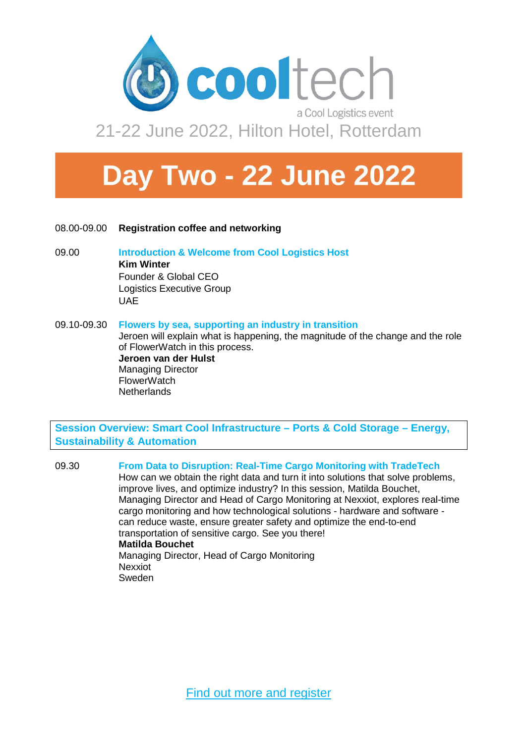

# **Day Two - 22 June 2022**

- 08.00-09.00 **Registration coffee and networking**
- 09.00 **Introduction & Welcome from Cool Logistics Host Kim Winter** Founder & Global CEO Logistics Executive Group UAE
- 09.10-09.30 **Flowers by sea, supporting an industry in transition** Jeroen will explain what is happening, the magnitude of the change and the role of FlowerWatch in this process. **Jeroen van der Hulst** Managing Director **FlowerWatch Netherlands**

**Session Overview: Smart Cool Infrastructure – Ports & Cold Storage – Energy, Sustainability & Automation**

09.30 **From Data to Disruption: Real-Time Cargo Monitoring with TradeTech** How can we obtain the right data and turn it into solutions that solve problems, improve lives, and optimize industry? In this session, Matilda Bouchet, Managing Director and Head of Cargo Monitoring at Nexxiot, explores real-time cargo monitoring and how technological solutions - hardware and software can reduce waste, ensure greater safety and optimize the end-to-end transportation of sensitive cargo. See you there! **Matilda Bouchet** Managing Director, Head of Cargo Monitoring Nexxiot Sweden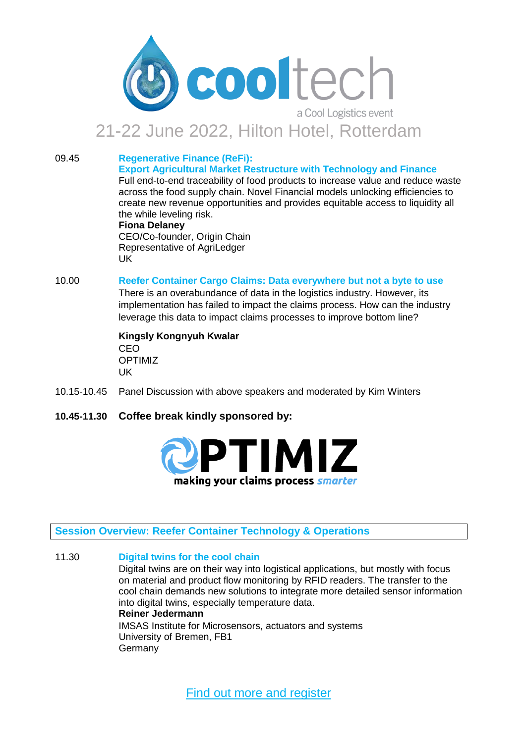

## 21-22 June 2022, Hilton Hotel, Rotterdam

09.45 **Regenerative Finance (ReFi): Export Agricultural Market Restructure with Technology and Finance**

Full end-to-end traceability of food products to increase value and reduce waste across the food supply chain. Novel Financial models unlocking efficiencies to create new revenue opportunities and provides equitable access to liquidity all the while leveling risk.

#### **Fiona Delaney**

CEO/Co-founder, Origin Chain Representative of AgriLedger UK

#### 10.00 **Reefer Container Cargo Claims: Data everywhere but not a byte to use**

There is an overabundance of data in the logistics industry. However, its implementation has failed to impact the claims process. How can the industry leverage this data to impact claims processes to improve bottom line?

#### **Kingsly Kongnyuh Kwalar** CEO OPTIMIZ UK

- 10.15-10.45 Panel Discussion with above speakers and moderated by Kim Winters
- **10.45-11.30 Coffee break kindly sponsored by:**



#### **Session Overview: Reefer Container Technology & Operations**

11.30 **Digital twins for the cool chain** Digital twins are on their way into logistical applications, but mostly with focus on material and product flow monitoring by RFID readers. The transfer to the cool chain demands new solutions to integrate more detailed sensor information into digital twins, especially temperature data. **Reiner Jedermann** IMSAS Institute for Microsensors, actuators and systems University of Bremen, FB1 Germany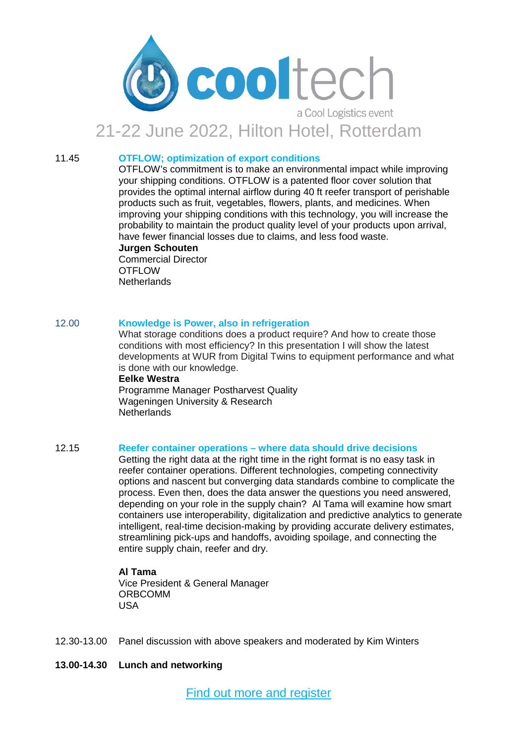

# 21-22 June 2022, Hilton Hotel, Rotterdam

#### 11.45 **OTFLOW; optimization of export conditions**

OTFLOW's commitment is to make an environmental impact while improving your shipping conditions. OTFLOW is a patented floor cover solution that provides the optimal internal airflow during 40 ft reefer transport of perishable products such as fruit, vegetables, flowers, plants, and medicines. When improving your shipping conditions with this technology, you will increase the probability to maintain the product quality level of your products upon arrival, have fewer financial losses due to claims, and less food waste.

**Jurgen Schouten** Commercial Director **OTFLOW Netherlands** 

#### 12.00 **Knowledge is Power, also in refrigeration**

What storage conditions does a product require? And how to create those conditions with most efficiency? In this presentation I will show the latest developments at WUR from Digital Twins to equipment performance and what is done with our knowledge.

**Eelke Westra** Programme Manager Postharvest Quality Wageningen University & Research **Netherlands** 

#### 12.15 **Reefer container operations – where data should drive decisions**

Getting the right data at the right time in the right format is no easy task in reefer container operations. Different technologies, competing connectivity options and nascent but converging data standards combine to complicate the process. Even then, does the data answer the questions you need answered, depending on your role in the supply chain? Al Tama will examine how smart containers use interoperability, digitalization and predictive analytics to generate intelligent, real-time decision-making by providing accurate delivery estimates, streamlining pick-ups and handoffs, avoiding spoilage, and connecting the entire supply chain, reefer and dry.

#### **Al Tama**

Vice President & General Manager ORBCOMM USA

- 12.30-13.00 Panel discussion with above speakers and moderated by Kim Winters
- **13.00-14.30 Lunch and networking**